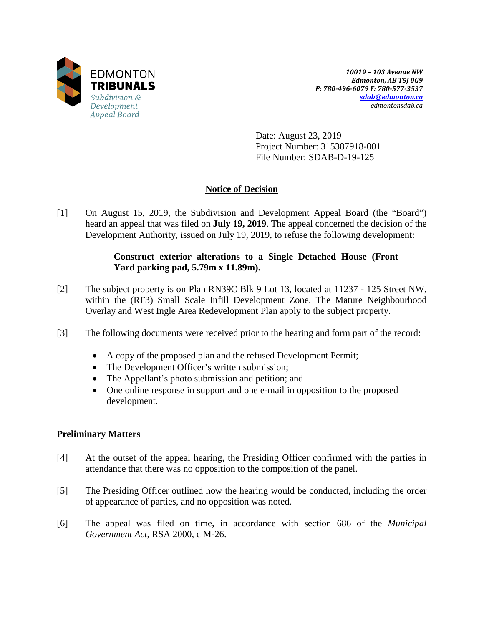

*10019 – 103 Avenue NW Edmonton, AB T5J 0G9 P: 780-496-6079 F: 780-577-3537 [sdab@edmonton.ca](mailto:sdab@edmonton.ca) edmontonsdab.ca*

Date: August 23, 2019 Project Number: 315387918-001 File Number: SDAB-D-19-125

# **Notice of Decision**

[1] On August 15, 2019, the Subdivision and Development Appeal Board (the "Board") heard an appeal that was filed on **July 19, 2019**. The appeal concerned the decision of the Development Authority, issued on July 19, 2019, to refuse the following development:

# **Construct exterior alterations to a Single Detached House (Front Yard parking pad, 5.79m x 11.89m).**

- [2] The subject property is on Plan RN39C Blk 9 Lot 13, located at 11237 125 Street NW, within the (RF3) Small Scale Infill Development Zone. The Mature Neighbourhood Overlay and West Ingle Area Redevelopment Plan apply to the subject property.
- [3] The following documents were received prior to the hearing and form part of the record:
	- A copy of the proposed plan and the refused Development Permit;
	- The Development Officer's written submission;
	- The Appellant's photo submission and petition; and
	- One online response in support and one e-mail in opposition to the proposed development.

# **Preliminary Matters**

- [4] At the outset of the appeal hearing, the Presiding Officer confirmed with the parties in attendance that there was no opposition to the composition of the panel.
- [5] The Presiding Officer outlined how the hearing would be conducted, including the order of appearance of parties, and no opposition was noted.
- [6] The appeal was filed on time, in accordance with section 686 of the *Municipal Government Act*, RSA 2000, c M-26.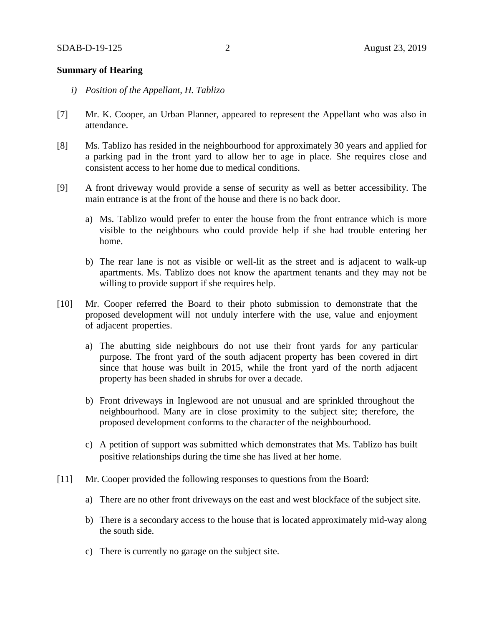## **Summary of Hearing**

- *i) Position of the Appellant, H. Tablizo*
- [7] Mr. K. Cooper, an Urban Planner, appeared to represent the Appellant who was also in attendance.
- [8] Ms. Tablizo has resided in the neighbourhood for approximately 30 years and applied for a parking pad in the front yard to allow her to age in place. She requires close and consistent access to her home due to medical conditions.
- [9] A front driveway would provide a sense of security as well as better accessibility. The main entrance is at the front of the house and there is no back door.
	- a) Ms. Tablizo would prefer to enter the house from the front entrance which is more visible to the neighbours who could provide help if she had trouble entering her home.
	- b) The rear lane is not as visible or well-lit as the street and is adjacent to walk-up apartments. Ms. Tablizo does not know the apartment tenants and they may not be willing to provide support if she requires help.
- [10] Mr. Cooper referred the Board to their photo submission to demonstrate that the proposed development will not unduly interfere with the use, value and enjoyment of adjacent properties.
	- a) The abutting side neighbours do not use their front yards for any particular purpose. The front yard of the south adjacent property has been covered in dirt since that house was built in 2015, while the front yard of the north adjacent property has been shaded in shrubs for over a decade.
	- b) Front driveways in Inglewood are not unusual and are sprinkled throughout the neighbourhood. Many are in close proximity to the subject site; therefore, the proposed development conforms to the character of the neighbourhood.
	- c) A petition of support was submitted which demonstrates that Ms. Tablizo has built positive relationships during the time she has lived at her home.
- [11] Mr. Cooper provided the following responses to questions from the Board:
	- a) There are no other front driveways on the east and west blockface of the subject site.
	- b) There is a secondary access to the house that is located approximately mid-way along the south side.
	- c) There is currently no garage on the subject site.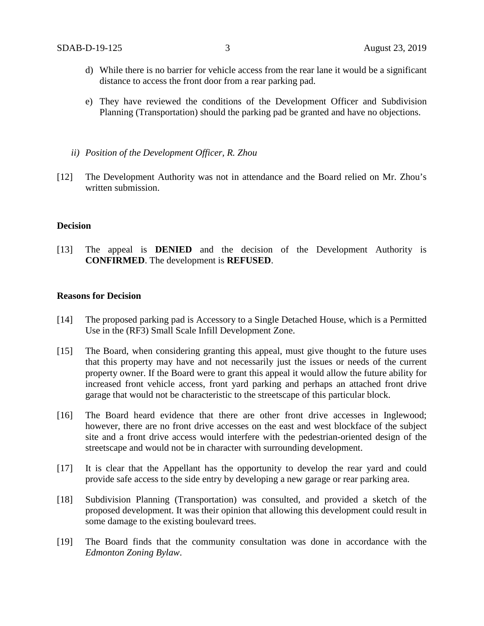- d) While there is no barrier for vehicle access from the rear lane it would be a significant distance to access the front door from a rear parking pad.
- e) They have reviewed the conditions of the Development Officer and Subdivision Planning (Transportation) should the parking pad be granted and have no objections.
- *ii) Position of the Development Officer, R. Zhou*
- [12] The Development Authority was not in attendance and the Board relied on Mr. Zhou's written submission.

#### **Decision**

[13] The appeal is **DENIED** and the decision of the Development Authority is **CONFIRMED**. The development is **REFUSED**.

### **Reasons for Decision**

- [14] The proposed parking pad is Accessory to a Single Detached House, which is a Permitted Use in the (RF3) Small Scale Infill Development Zone.
- [15] The Board, when considering granting this appeal, must give thought to the future uses that this property may have and not necessarily just the issues or needs of the current property owner. If the Board were to grant this appeal it would allow the future ability for increased front vehicle access, front yard parking and perhaps an attached front drive garage that would not be characteristic to the streetscape of this particular block.
- [16] The Board heard evidence that there are other front drive accesses in Inglewood; however, there are no front drive accesses on the east and west blockface of the subject site and a front drive access would interfere with the pedestrian-oriented design of the streetscape and would not be in character with surrounding development.
- [17] It is clear that the Appellant has the opportunity to develop the rear yard and could provide safe access to the side entry by developing a new garage or rear parking area.
- [18] Subdivision Planning (Transportation) was consulted, and provided a sketch of the proposed development. It was their opinion that allowing this development could result in some damage to the existing boulevard trees.
- [19] The Board finds that the community consultation was done in accordance with the *Edmonton Zoning Bylaw*.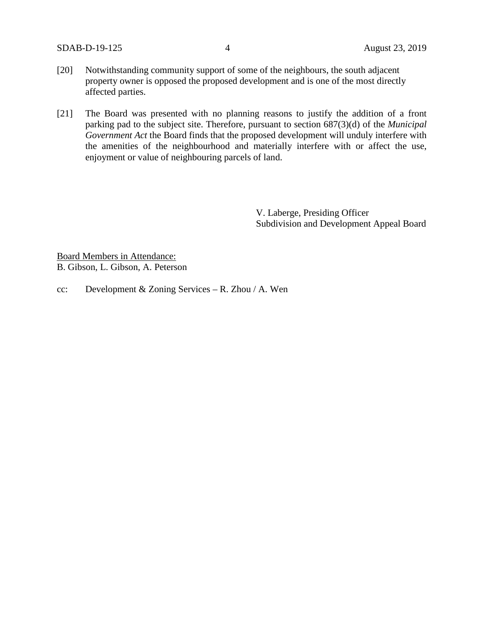SDAB-D-19-125 4 August 23, 2019

- [20] Notwithstanding community support of some of the neighbours, the south adjacent property owner is opposed the proposed development and is one of the most directly affected parties.
- [21] The Board was presented with no planning reasons to justify the addition of a front parking pad to the subject site. Therefore, pursuant to section 687(3)(d) of the *Municipal Government Act* the Board finds that the proposed development will unduly interfere with the amenities of the neighbourhood and materially interfere with or affect the use, enjoyment or value of neighbouring parcels of land.

V. Laberge, Presiding Officer Subdivision and Development Appeal Board

Board Members in Attendance: B. Gibson, L. Gibson, A. Peterson

cc: Development & Zoning Services – R. Zhou / A. Wen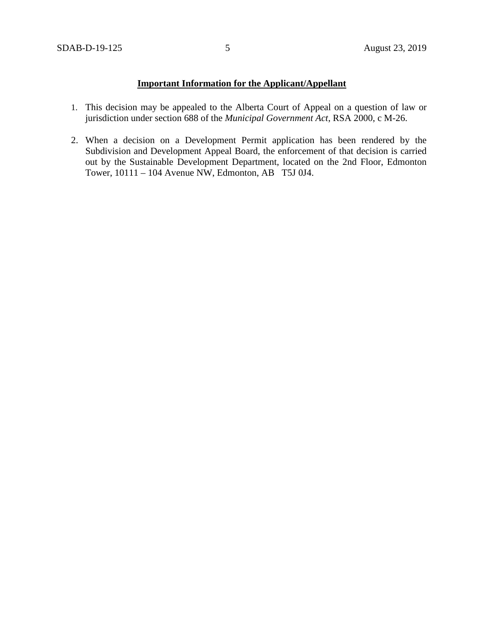# **Important Information for the Applicant/Appellant**

- 1. This decision may be appealed to the Alberta Court of Appeal on a question of law or jurisdiction under section 688 of the *Municipal Government Act*, RSA 2000, c M-26.
- 2. When a decision on a Development Permit application has been rendered by the Subdivision and Development Appeal Board, the enforcement of that decision is carried out by the Sustainable Development Department, located on the 2nd Floor, Edmonton Tower, 10111 – 104 Avenue NW, Edmonton, AB T5J 0J4.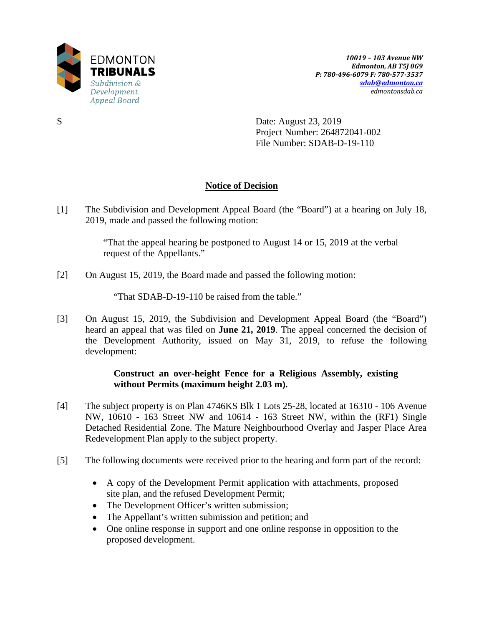

S Date: August 23, 2019 Project Number: 264872041-002 File Number: SDAB-D-19-110

# **Notice of Decision**

[1] The Subdivision and Development Appeal Board (the "Board") at a hearing on July 18, 2019, made and passed the following motion:

> "That the appeal hearing be postponed to August 14 or 15, 2019 at the verbal request of the Appellants."

[2] On August 15, 2019, the Board made and passed the following motion:

"That SDAB-D-19-110 be raised from the table."

[3] On August 15, 2019, the Subdivision and Development Appeal Board (the "Board") heard an appeal that was filed on **June 21, 2019**. The appeal concerned the decision of the Development Authority, issued on May 31, 2019, to refuse the following development:

# **Construct an over-height Fence for a Religious Assembly, existing without Permits (maximum height 2.03 m).**

- [4] The subject property is on Plan 4746KS Blk 1 Lots 25-28, located at 16310 106 Avenue NW, 10610 - 163 Street NW and 10614 - 163 Street NW, within the (RF1) Single Detached Residential Zone. The Mature Neighbourhood Overlay and Jasper Place Area Redevelopment Plan apply to the subject property.
- [5] The following documents were received prior to the hearing and form part of the record:
	- A copy of the Development Permit application with attachments, proposed site plan, and the refused Development Permit;
	- The Development Officer's written submission;
	- The Appellant's written submission and petition; and
	- One online response in support and one online response in opposition to the proposed development.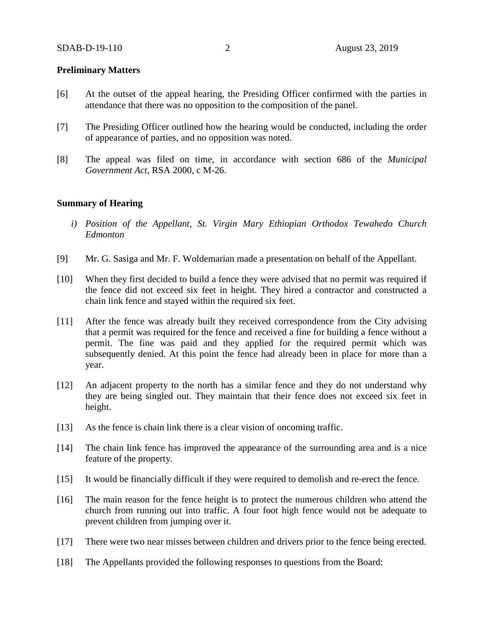## **Preliminary Matters**

- [6] At the outset of the appeal hearing, the Presiding Officer confirmed with the parties in attendance that there was no opposition to the composition of the panel.
- [7] The Presiding Officer outlined how the hearing would be conducted, including the order of appearance of parties, and no opposition was noted.
- [8] The appeal was filed on time, in accordance with section 686 of the *Municipal Government Act*, RSA 2000, c M-26.

### **Summary of Hearing**

- *i) Position of the Appellant, St. Virgin Mary Ethiopian Orthodox Tewahedo Church Edmonton*
- [9] Mr. G. Sasiga and Mr. F. Woldemarian made a presentation on behalf of the Appellant.
- [10] When they first decided to build a fence they were advised that no permit was required if the fence did not exceed six feet in height. They hired a contractor and constructed a chain link fence and stayed within the required six feet.
- [11] After the fence was already built they received correspondence from the City advising that a permit was required for the fence and received a fine for building a fence without a permit. The fine was paid and they applied for the required permit which was subsequently denied. At this point the fence had already been in place for more than a year.
- [12] An adjacent property to the north has a similar fence and they do not understand why they are being singled out. They maintain that their fence does not exceed six feet in height.
- [13] As the fence is chain link there is a clear vision of oncoming traffic.
- [14] The chain link fence has improved the appearance of the surrounding area and is a nice feature of the property.
- [15] It would be financially difficult if they were required to demolish and re-erect the fence.
- [16] The main reason for the fence height is to protect the numerous children who attend the church from running out into traffic. A four foot high fence would not be adequate to prevent children from jumping over it.
- [17] There were two near misses between children and drivers prior to the fence being erected.
- [18] The Appellants provided the following responses to questions from the Board: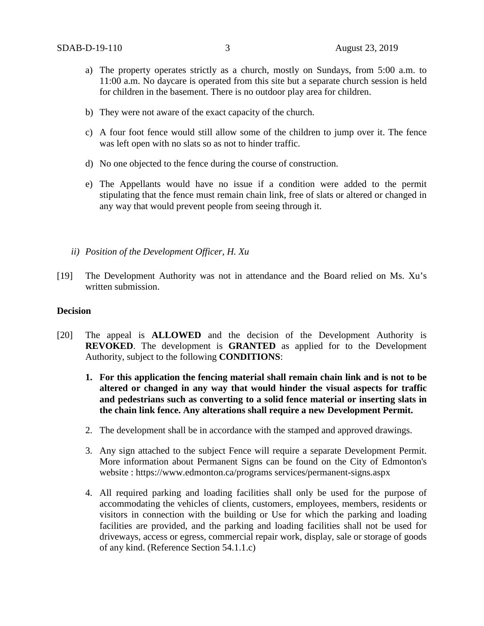- a) The property operates strictly as a church, mostly on Sundays, from 5:00 a.m. to 11:00 a.m. No daycare is operated from this site but a separate church session is held for children in the basement. There is no outdoor play area for children.
- b) They were not aware of the exact capacity of the church.
- c) A four foot fence would still allow some of the children to jump over it. The fence was left open with no slats so as not to hinder traffic.
- d) No one objected to the fence during the course of construction.
- e) The Appellants would have no issue if a condition were added to the permit stipulating that the fence must remain chain link, free of slats or altered or changed in any way that would prevent people from seeing through it.
- *ii) Position of the Development Officer, H. Xu*
- [19] The Development Authority was not in attendance and the Board relied on Ms. Xu's written submission.

### **Decision**

- [20] The appeal is **ALLOWED** and the decision of the Development Authority is **REVOKED**. The development is **GRANTED** as applied for to the Development Authority, subject to the following **CONDITIONS**:
	- **1. For this application the fencing material shall remain chain link and is not to be altered or changed in any way that would hinder the visual aspects for traffic and pedestrians such as converting to a solid fence material or inserting slats in the chain link fence. Any alterations shall require a new Development Permit.**
	- 2. The development shall be in accordance with the stamped and approved drawings.
	- 3. Any sign attached to the subject Fence will require a separate Development Permit. More information about Permanent Signs can be found on the City of Edmonton's website : https://www.edmonton.ca/programs services/permanent-signs.aspx
	- 4. All required parking and loading facilities shall only be used for the purpose of accommodating the vehicles of clients, customers, employees, members, residents or visitors in connection with the building or Use for which the parking and loading facilities are provided, and the parking and loading facilities shall not be used for driveways, access or egress, commercial repair work, display, sale or storage of goods of any kind. (Reference Section 54.1.1.c)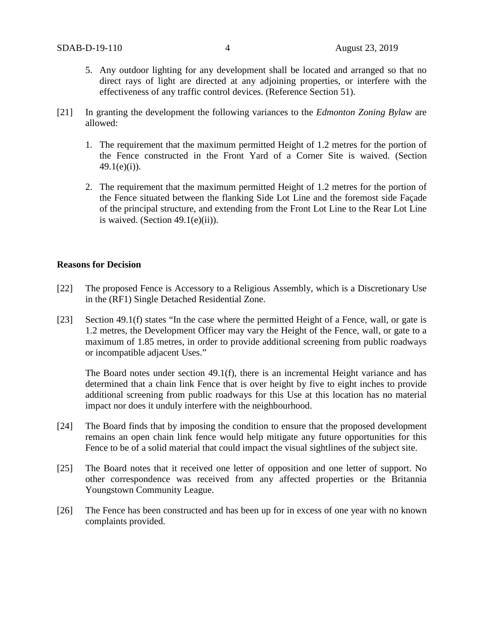- 5. Any outdoor lighting for any development shall be located and arranged so that no direct rays of light are directed at any adjoining properties, or interfere with the effectiveness of any traffic control devices. (Reference Section 51).
- [21] In granting the development the following variances to the *Edmonton Zoning Bylaw* are allowed:
	- 1. The requirement that the maximum permitted Height of 1.2 metres for the portion of the Fence constructed in the Front Yard of a Corner Site is waived. (Section  $49.1(e)(i)$ ).
	- 2. The requirement that the maximum permitted Height of 1.2 metres for the portion of the Fence situated between the flanking Side Lot Line and the foremost side Façade of the principal structure, and extending from the Front Lot Line to the Rear Lot Line is waived. (Section  $49.1(e)(ii)$ ).

#### **Reasons for Decision**

- [22] The proposed Fence is Accessory to a Religious Assembly, which is a Discretionary Use in the (RF1) Single Detached Residential Zone.
- [23] Section 49.1(f) states "In the case where the permitted Height of a Fence, wall, or gate is 1.2 metres, the Development Officer may vary the Height of the Fence, wall, or gate to a maximum of 1.85 metres, in order to provide additional screening from public roadways or incompatible adjacent Uses."

The Board notes under section 49.1(f), there is an incremental Height variance and has determined that a chain link Fence that is over height by five to eight inches to provide additional screening from public roadways for this Use at this location has no material impact nor does it unduly interfere with the neighbourhood.

- [24] The Board finds that by imposing the condition to ensure that the proposed development remains an open chain link fence would help mitigate any future opportunities for this Fence to be of a solid material that could impact the visual sightlines of the subject site.
- [25] The Board notes that it received one letter of opposition and one letter of support. No other correspondence was received from any affected properties or the Britannia Youngstown Community League.
- [26] The Fence has been constructed and has been up for in excess of one year with no known complaints provided.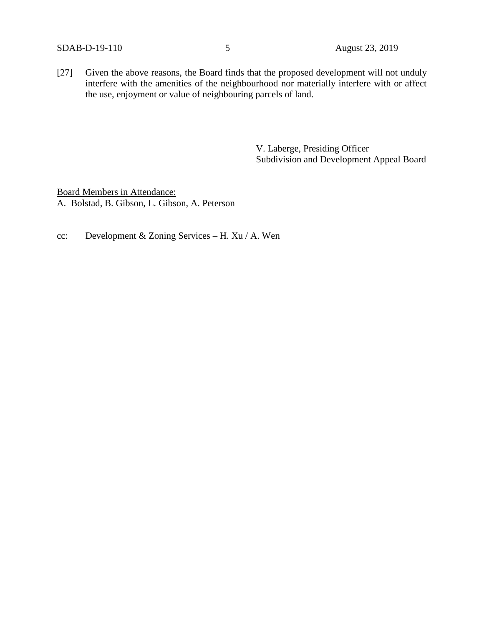[27] Given the above reasons, the Board finds that the proposed development will not unduly interfere with the amenities of the neighbourhood nor materially interfere with or affect the use, enjoyment or value of neighbouring parcels of land.

> V. Laberge, Presiding Officer Subdivision and Development Appeal Board

Board Members in Attendance: A. Bolstad, B. Gibson, L. Gibson, A. Peterson

cc: Development & Zoning Services – H. Xu / A. Wen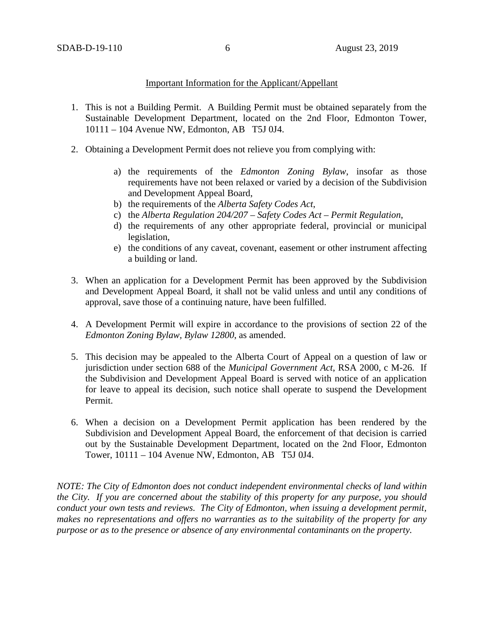## Important Information for the Applicant/Appellant

- 1. This is not a Building Permit. A Building Permit must be obtained separately from the Sustainable Development Department, located on the 2nd Floor, Edmonton Tower, 10111 – 104 Avenue NW, Edmonton, AB T5J 0J4.
- 2. Obtaining a Development Permit does not relieve you from complying with:
	- a) the requirements of the *Edmonton Zoning Bylaw*, insofar as those requirements have not been relaxed or varied by a decision of the Subdivision and Development Appeal Board,
	- b) the requirements of the *Alberta Safety Codes Act*,
	- c) the *Alberta Regulation 204/207 – Safety Codes Act – Permit Regulation*,
	- d) the requirements of any other appropriate federal, provincial or municipal legislation,
	- e) the conditions of any caveat, covenant, easement or other instrument affecting a building or land.
- 3. When an application for a Development Permit has been approved by the Subdivision and Development Appeal Board, it shall not be valid unless and until any conditions of approval, save those of a continuing nature, have been fulfilled.
- 4. A Development Permit will expire in accordance to the provisions of section 22 of the *Edmonton Zoning Bylaw, Bylaw 12800*, as amended.
- 5. This decision may be appealed to the Alberta Court of Appeal on a question of law or jurisdiction under section 688 of the *Municipal Government Act*, RSA 2000, c M-26. If the Subdivision and Development Appeal Board is served with notice of an application for leave to appeal its decision, such notice shall operate to suspend the Development Permit.
- 6. When a decision on a Development Permit application has been rendered by the Subdivision and Development Appeal Board, the enforcement of that decision is carried out by the Sustainable Development Department, located on the 2nd Floor, Edmonton Tower, 10111 – 104 Avenue NW, Edmonton, AB T5J 0J4.

*NOTE: The City of Edmonton does not conduct independent environmental checks of land within the City. If you are concerned about the stability of this property for any purpose, you should conduct your own tests and reviews. The City of Edmonton, when issuing a development permit, makes no representations and offers no warranties as to the suitability of the property for any purpose or as to the presence or absence of any environmental contaminants on the property.*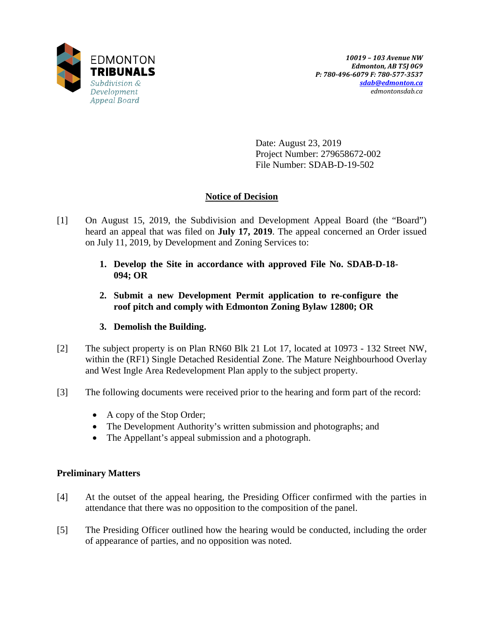

Date: August 23, 2019 Project Number: 279658672-002 File Number: SDAB-D-19-502

# **Notice of Decision**

- [1] On August 15, 2019, the Subdivision and Development Appeal Board (the "Board") heard an appeal that was filed on **July 17, 2019**. The appeal concerned an Order issued on July 11, 2019, by Development and Zoning Services to:
	- **1. Develop the Site in accordance with approved File No. SDAB-D-18- 094; OR**
	- **2. Submit a new Development Permit application to re-configure the roof pitch and comply with Edmonton Zoning Bylaw 12800; OR**

# **3. Demolish the Building.**

- [2] The subject property is on Plan RN60 Blk 21 Lot 17, located at 10973 132 Street NW, within the (RF1) Single Detached Residential Zone. The Mature Neighbourhood Overlay and West Ingle Area Redevelopment Plan apply to the subject property.
- [3] The following documents were received prior to the hearing and form part of the record:
	- A copy of the Stop Order;
	- The Development Authority's written submission and photographs; and
	- The Appellant's appeal submission and a photograph.

# **Preliminary Matters**

- [4] At the outset of the appeal hearing, the Presiding Officer confirmed with the parties in attendance that there was no opposition to the composition of the panel.
- [5] The Presiding Officer outlined how the hearing would be conducted, including the order of appearance of parties, and no opposition was noted.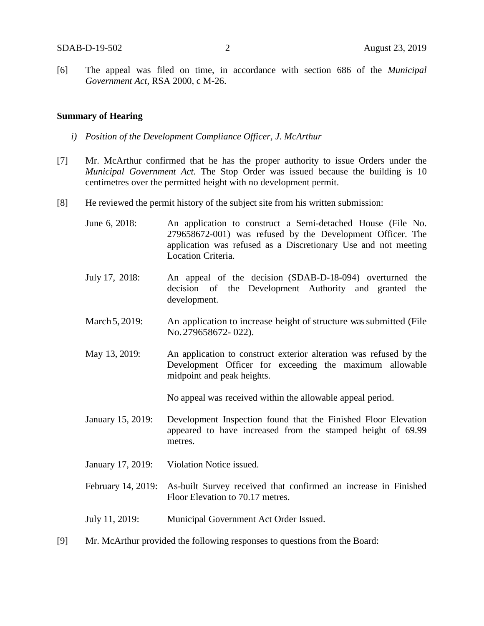[6] The appeal was filed on time, in accordance with section 686 of the *Municipal Government Act*, RSA 2000, c M-26.

#### **Summary of Hearing**

- *i) Position of the Development Compliance Officer, J. McArthur*
- [7] Mr. McArthur confirmed that he has the proper authority to issue Orders under the *Municipal Government Act.* The Stop Order was issued because the building is 10 centimetres over the permitted height with no development permit.
- [8] He reviewed the permit history of the subject site from his written submission:
	- June 6, 2018: An application to construct a Semi-detached House (File No. 279658672-001) was refused by the Development Officer. The application was refused as a Discretionary Use and not meeting Location Criteria.
	- July 17, 2018: An appeal of the decision (SDAB-D-18-094) overturned the decision of the Development Authority and granted the development.
	- March 5, 2019: An application to increase height of structure was submitted (File No.279658672- 022).
	- May 13, 2019: An application to construct exterior alteration was refused by the Development Officer for exceeding the maximum allowable midpoint and peak heights.

No appeal was received within the allowable appeal period.

- January 15, 2019: Development Inspection found that the Finished Floor Elevation appeared to have increased from the stamped height of 69.99 metres.
- January 17, 2019: Violation Notice issued.
- February 14, 2019: As-built Survey received that confirmed an increase in Finished Floor Elevation to 70.17 metres.

July 11, 2019: Municipal Government Act Order Issued.

[9] Mr. McArthur provided the following responses to questions from the Board: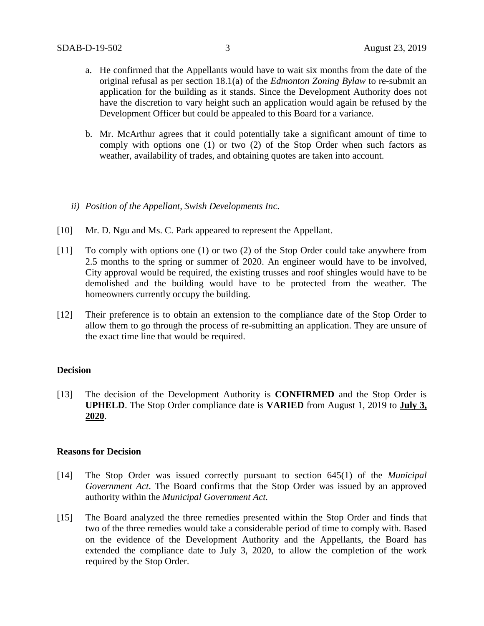- a. He confirmed that the Appellants would have to wait six months from the date of the original refusal as per section 18.1(a) of the *Edmonton Zoning Bylaw* to re-submit an application for the building as it stands. Since the Development Authority does not have the discretion to vary height such an application would again be refused by the Development Officer but could be appealed to this Board for a variance.
- b. Mr. McArthur agrees that it could potentially take a significant amount of time to comply with options one (1) or two (2) of the Stop Order when such factors as weather, availability of trades, and obtaining quotes are taken into account.

### *ii) Position of the Appellant, Swish Developments Inc.*

- [10] Mr. D. Ngu and Ms. C. Park appeared to represent the Appellant.
- [11] To comply with options one (1) or two (2) of the Stop Order could take anywhere from 2.5 months to the spring or summer of 2020. An engineer would have to be involved, City approval would be required, the existing trusses and roof shingles would have to be demolished and the building would have to be protected from the weather. The homeowners currently occupy the building.
- [12] Their preference is to obtain an extension to the compliance date of the Stop Order to allow them to go through the process of re-submitting an application. They are unsure of the exact time line that would be required.

### **Decision**

[13] The decision of the Development Authority is **CONFIRMED** and the Stop Order is **UPHELD**. The Stop Order compliance date is **VARIED** from August 1, 2019 to **July 3, 2020**.

### **Reasons for Decision**

- [14] The Stop Order was issued correctly pursuant to section 645(1) of the *Municipal Government Act*. The Board confirms that the Stop Order was issued by an approved authority within the *Municipal Government Act.*
- [15] The Board analyzed the three remedies presented within the Stop Order and finds that two of the three remedies would take a considerable period of time to comply with. Based on the evidence of the Development Authority and the Appellants, the Board has extended the compliance date to July 3, 2020, to allow the completion of the work required by the Stop Order.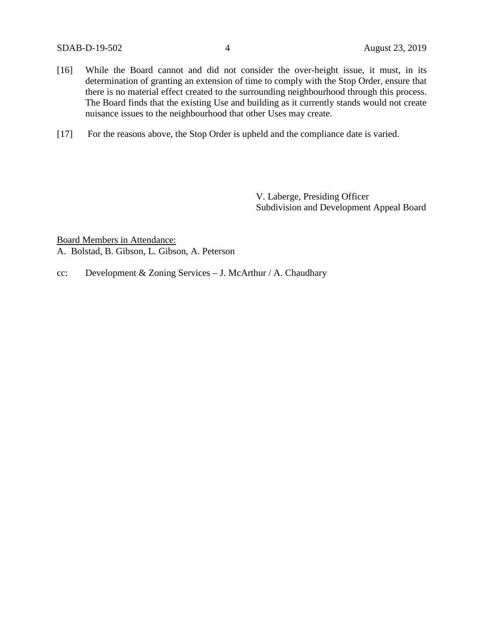- [16] While the Board cannot and did not consider the over-height issue, it must, in its determination of granting an extension of time to comply with the Stop Order, ensure that there is no material effect created to the surrounding neighbourhood through this process. The Board finds that the existing Use and building as it currently stands would not create nuisance issues to the neighbourhood that other Uses may create.
- [17] For the reasons above, the Stop Order is upheld and the compliance date is varied.

V. Laberge, Presiding Officer Subdivision and Development Appeal Board

Board Members in Attendance: A. Bolstad, B. Gibson, L. Gibson, A. Peterson

cc: Development & Zoning Services – J. McArthur / A. Chaudhary